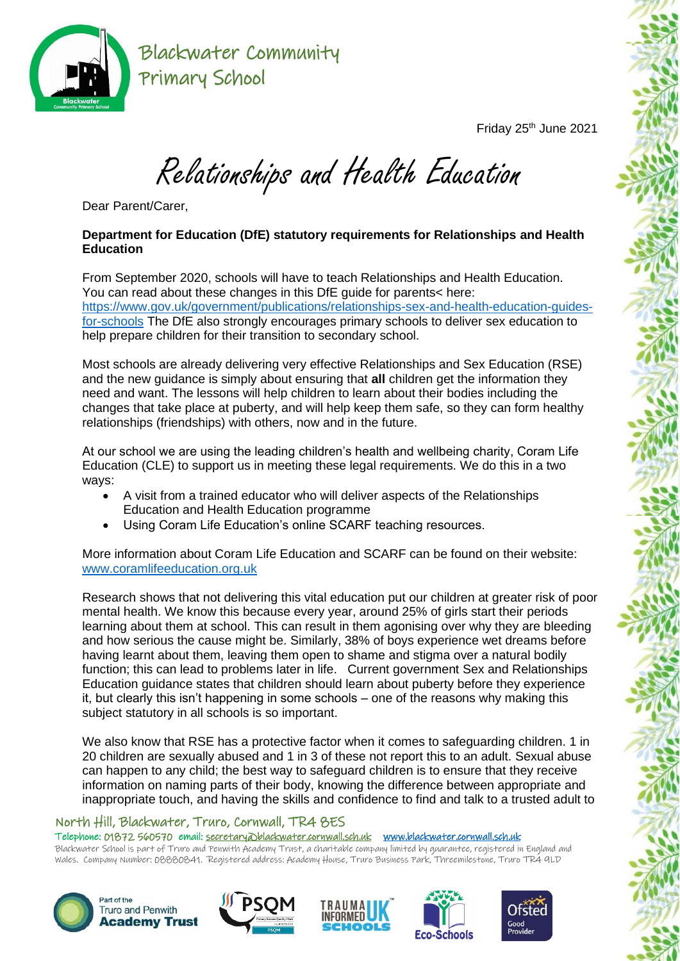

Friday 25<sup>th</sup> June 2021

Relationships and Health Education

Dear Parent/Carer,

## **Department for Education (DfE) statutory requirements for Relationships and Health Education**

From September 2020, schools will have to teach Relationships and Health Education. You can read about these changes in this DfE guide for parents< here: [https://www.gov.uk/government/publications/relationships-sex-and-health-education-guides](https://www.gov.uk/government/publications/relationships-sex-and-health-education-guides-for-schools)[for-schools](https://www.gov.uk/government/publications/relationships-sex-and-health-education-guides-for-schools) The DfE also strongly encourages primary schools to deliver sex education to help prepare children for their transition to secondary school.

Most schools are already delivering very effective Relationships and Sex Education (RSE) and the new guidance is simply about ensuring that **all** children get the information they need and want. The lessons will help children to learn about their bodies including the changes that take place at puberty, and will help keep them safe, so they can form healthy relationships (friendships) with others, now and in the future.

At our school we are using the leading children's health and wellbeing charity, Coram Life Education (CLE) to support us in meeting these legal requirements. We do this in a two ways:

- A visit from a trained educator who will deliver aspects of the Relationships Education and Health Education programme
- Using Coram Life Education's online SCARF teaching resources.

More information about Coram Life Education and SCARF can be found on their website: [www.coramlifeeducation.org.uk](http://www.coramlifeeducation.org.uk/)

Research shows that not delivering this vital education put our children at greater risk of poor mental health. We know this because every year, around 25% of girls start their periods learning about them at school. This can result in them agonising over why they are bleeding and how serious the cause might be. Similarly, 38% of boys experience wet dreams before having learnt about them, leaving them open to shame and stigma over a natural bodily function; this can lead to problems later in life. Current government Sex and Relationships Education guidance states that children should learn about puberty before they experience it, but clearly this isn't happening in some schools – one of the reasons why making this subject statutory in all schools is so important.

We also know that RSE has a protective factor when it comes to safeguarding children. 1 in 20 children are sexually abused and 1 in 3 of these not report this to an adult. Sexual abuse can happen to any child; the best way to safeguard children is to ensure that they receive information on naming parts of their body, knowing the difference between appropriate and inappropriate touch, and having the skills and confidence to find and talk to a trusted adult to

## North Hill, Blackwater, Truro, Cornwall, TR4 8ES

Telephone: 01872 560570 email: [secretary@blackwater.cornwall.sch.uk](mailto:secretary@blackwater.cornwall.sch.uk) [www.blackwater.cornwall.sch.uk](http://www.blackwater.cornwall.sch.uk/) 

Blackwater School is part of Truro and Penwith Academy Trust, a charitable company limited by guarantee, registered in England and Wales. Company Number: 08880841. Registered address: Academy House, Truro Business Park, Threemilestone, Truro TR4 9LD